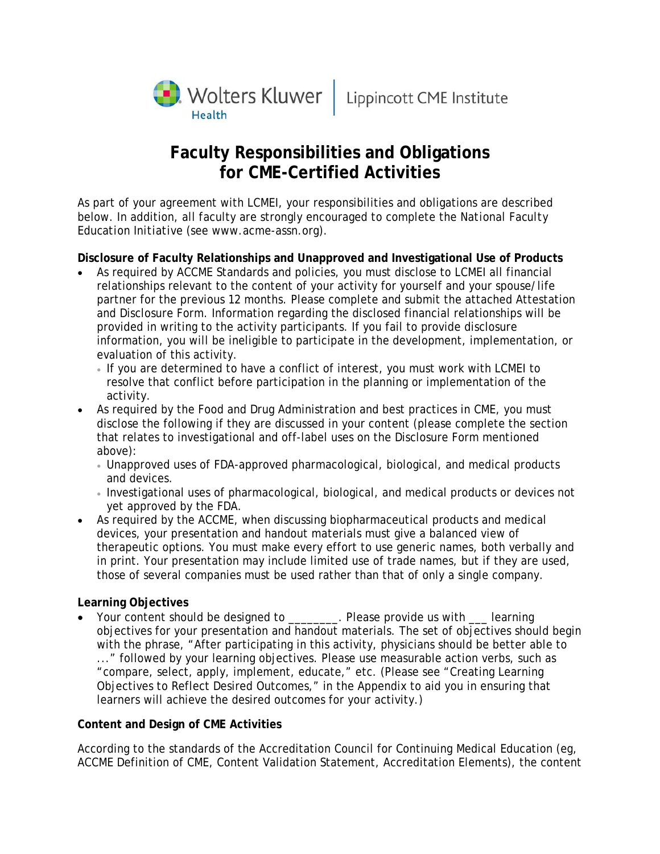

# **Faculty Responsibilities and Obligations for CME-Certified Activities**

As part of your agreement with LCMEI, your responsibilities and obligations are described below. In addition, all faculty are strongly encouraged to complete the *National Faculty Education Initiative* (see www.acme-assn.org).

**Disclosure of Faculty Relationships and Unapproved and Investigational Use of Products** 

- As required by ACCME Standards and policies, you must disclose to LCMEI all financial relationships relevant to the content of your activity for yourself and your spouse/life partner for the previous 12 months. Please complete and submit the attached Attestation and Disclosure Form. Information regarding the disclosed financial relationships will be provided in writing to the activity participants. If you fail to provide disclosure information, you will be ineligible to participate in the development, implementation, or evaluation of this activity.
	- If you are determined to have a conflict of interest, you must work with LCMEI to resolve that conflict before participation in the planning or implementation of the activity.
- As required by the Food and Drug Administration and best practices in CME, you must disclose the following if they are discussed in your content (please complete the section that relates to investigational and off-label uses on the Disclosure Form mentioned above):
	- Unapproved uses of FDA-approved pharmacological, biological, and medical products and devices.
	- Investigational uses of pharmacological, biological, and medical products or devices not yet approved by the FDA.
- As required by the ACCME, when discussing biopharmaceutical products and medical devices, your presentation and handout materials must give a balanced view of therapeutic options. You must make every effort to use generic names, both verbally and in print. Your presentation may include limited use of trade names, but if they are used, those of several companies must be used rather than that of only a single company.

## **Learning Objectives**

• Your content should be designed to \_\_\_\_\_\_\_\_. Please provide us with \_\_\_ learning objectives for your presentation and handout materials. The set of objectives should begin with the phrase, "After participating in this activity, physicians should be better able to ..." followed by your learning objectives. Please use measurable action verbs, such as "compare, select, apply, implement, educate," etc. (Please see "Creating Learning Objectives to Reflect Desired Outcomes," in the Appendix to aid you in ensuring that learners will achieve the desired outcomes for your activity.)

## **Content and Design of CME Activities**

According to the standards of the Accreditation Council for Continuing Medical Education (eg, ACCME Definition of CME, Content Validation Statement, Accreditation Elements), the content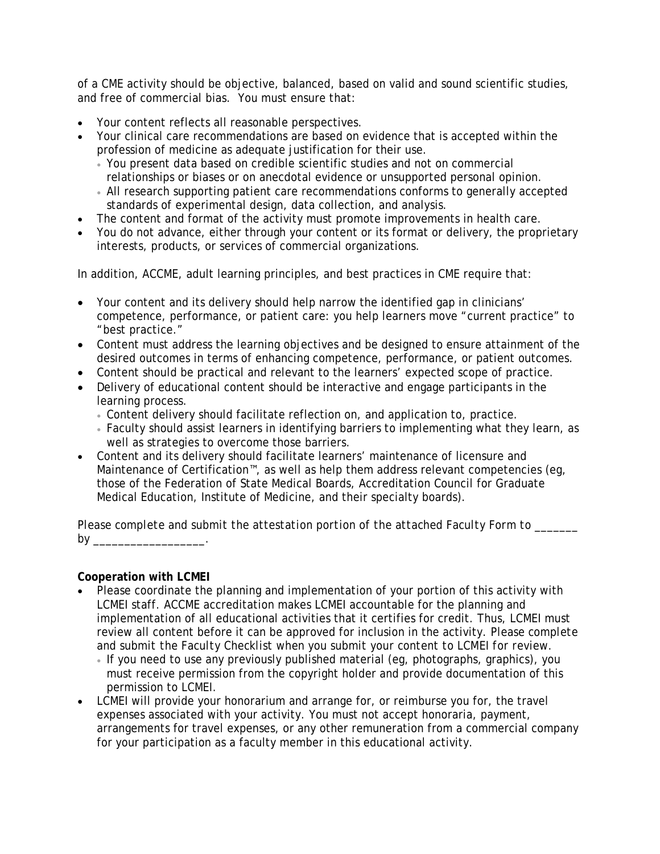of a CME activity should be objective, balanced, based on valid and sound scientific studies, and free of commercial bias. You must ensure that:

- Your content reflects all reasonable perspectives.
- Your clinical care recommendations are based on evidence that is accepted within the profession of medicine as adequate justification for their use.
	- You present data based on credible scientific studies and not on commercial relationships or biases or on anecdotal evidence or unsupported personal opinion.
	- All research supporting patient care recommendations conforms to generally accepted standards of experimental design, data collection, and analysis.
- The content and format of the activity must promote improvements in health care.
- You do not advance, either through your content or its format or delivery, the proprietary interests, products, or services of commercial organizations.

In addition, ACCME, adult learning principles, and best practices in CME require that:

- Your content and its delivery should help narrow the identified gap in clinicians' competence, performance, or patient care: you help learners move "current practice" to "best practice."
- Content must address the learning objectives and be designed to ensure attainment of the desired outcomes in terms of enhancing competence, performance, or patient outcomes.
- Content should be practical and relevant to the learners' expected scope of practice.
- Delivery of educational content should be interactive and engage participants in the learning process.
	- Content delivery should facilitate reflection on, and application to, practice.
	- Faculty should assist learners in identifying barriers to implementing what they learn, as well as strategies to overcome those barriers.
- Content and its delivery should facilitate learners' maintenance of licensure and Maintenance of Certification™, as well as help them address relevant competencies (eg, those of the Federation of State Medical Boards, Accreditation Council for Graduate Medical Education, Institute of Medicine, and their specialty boards).

*Please complete and submit the attestation portion of the attached Faculty Form to \_\_\_\_\_\_\_ by* \_\_\_\_\_\_\_\_\_\_\_\_\_\_\_\_\_\_.

## **Cooperation with LCMEI**

- Please coordinate the planning and implementation of your portion of this activity with LCMEI staff. ACCME accreditation makes LCMEI accountable for the planning and implementation of all educational activities that it certifies for credit. Thus, LCMEI must review all content before it can be approved for inclusion in the activity. *Please complete and submit the Faculty Checklist when you submit your content to LCMEI for review.*
	- If you need to use any previously published material (eg, photographs, graphics), you must receive permission from the copyright holder and provide documentation of this permission to LCMEI.
- LCMEI will provide your honorarium and arrange for, or reimburse you for, the travel expenses associated with your activity. You must not accept honoraria, payment, arrangements for travel expenses, or any other remuneration from a commercial company for your participation as a faculty member in this educational activity.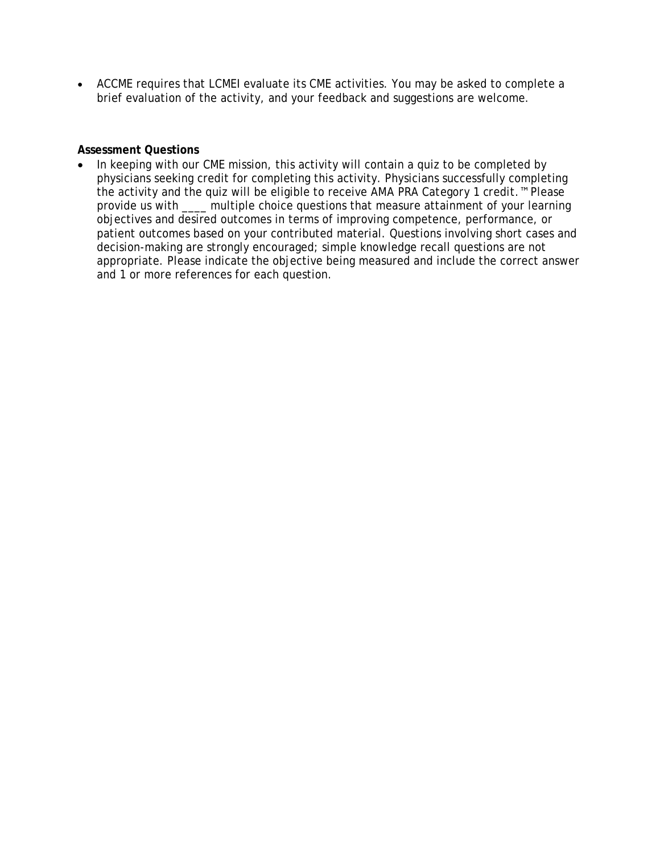• ACCME requires that LCMEI evaluate its CME activities. You may be asked to complete a brief evaluation of the activity, and your feedback and suggestions are welcome.

## **Assessment Questions**

• In keeping with our CME mission, this activity will contain a quiz to be completed by physicians seeking credit for completing this activity. Physicians successfully completing the activity and the quiz will be eligible to receive *AMA PRA Category 1 credit*.™ Please provide us with \_\_\_\_ multiple choice questions that measure attainment of your learning objectives and desired outcomes in terms of improving competence, performance, or patient outcomes based on your contributed material. Questions involving short cases and decision-making are strongly encouraged; simple knowledge recall questions are not appropriate. Please indicate the objective being measured and include the correct answer and 1 or more references for each question.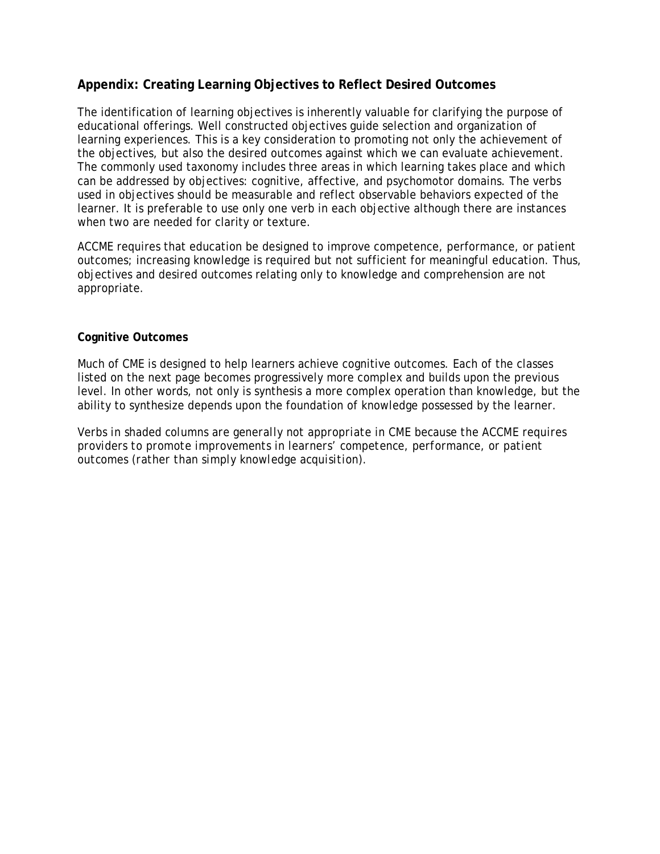# **Appendix: Creating Learning Objectives to Reflect Desired Outcomes**

The identification of learning objectives is inherently valuable for clarifying the purpose of educational offerings. Well constructed objectives guide selection and organization of learning experiences. This is a key consideration to promoting not only the achievement of the objectives, but also the desired outcomes against which we can evaluate achievement. The commonly used taxonomy includes three areas in which learning takes place and which can be addressed by objectives: cognitive, affective, and psychomotor domains. The verbs used in objectives should be measurable and reflect observable behaviors expected of the learner. It is preferable to use only one verb in each objective although there are instances when two are needed for clarity or texture.

ACCME requires that education be designed to improve competence, performance, or patient outcomes; increasing knowledge is required but not sufficient for meaningful education. Thus, objectives and desired outcomes relating only to knowledge and comprehension are not appropriate.

#### **Cognitive Outcomes**

Much of CME is designed to help learners achieve cognitive outcomes. Each of the classes listed on the next page becomes progressively more complex and builds upon the previous level. In other words, not only is synthesis a more complex operation than knowledge, but the ability to synthesize depends upon the foundation of knowledge possessed by the learner.

*Verbs in shaded columns are generally not appropriate in CME because the ACCME requires providers to promote improvements in learners' competence, performance, or patient outcomes (rather than simply knowledge acquisition).*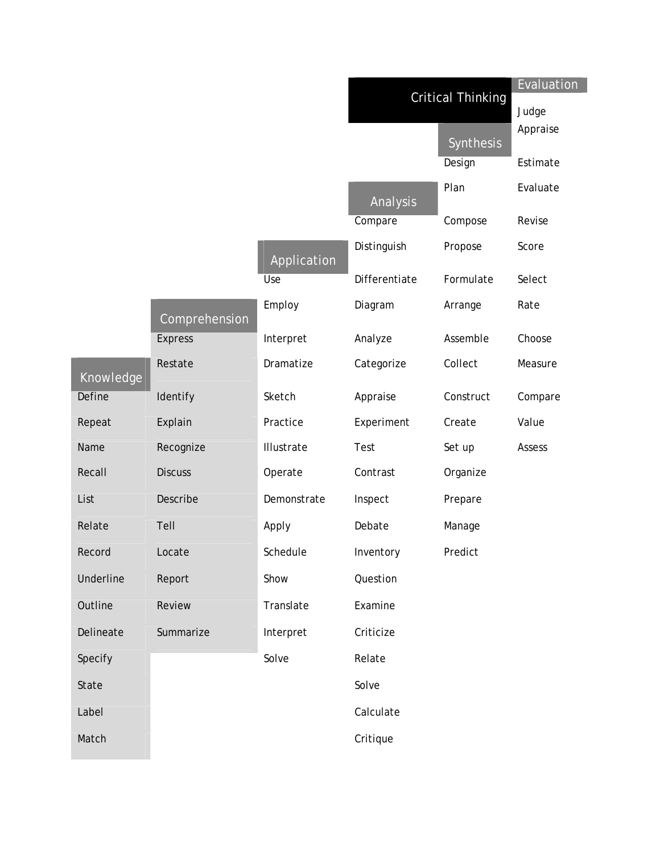|           |                |             | <b>Critical Thinking</b> |           | Evaluation<br>Judge |
|-----------|----------------|-------------|--------------------------|-----------|---------------------|
|           |                |             |                          | Synthesis | Appraise            |
|           |                |             |                          | Design    | Estimate            |
|           |                |             | Analysis                 | Plan      | Evaluate            |
|           |                |             | Compare                  | Compose   | Revise              |
|           |                | Application | Distinguish              | Propose   | Score               |
|           |                | Use         | Differentiate            | Formulate | Select              |
|           | Comprehension  | Employ      | Diagram                  | Arrange   | Rate                |
|           | <b>Express</b> | Interpret   | Analyze                  | Assemble  | Choose              |
| Knowledge | Restate        | Dramatize   | Categorize               | Collect   | Measure             |
| Define    | Identify       | Sketch      | Appraise                 | Construct | Compare             |
| Repeat    | Explain        | Practice    | Experiment               | Create    | Value               |
| Name      | Recognize      | Illustrate  | Test                     | Set up    | Assess              |
| Recall    | <b>Discuss</b> | Operate     | Contrast                 | Organize  |                     |
| List      | Describe       | Demonstrate | Inspect                  | Prepare   |                     |
| Relate    | Tell           | Apply       | Debate                   | Manage    |                     |
| Record    | Locate         | Schedule    | Inventory                | Predict   |                     |
| Underline | Report         | Show        | Question                 |           |                     |
| Outline   | Review         | Translate   | Examine                  |           |                     |
| Delineate | Summarize      | Interpret   | Criticize                |           |                     |
| Specify   |                | Solve       | Relate                   |           |                     |
| State     |                |             | Solve                    |           |                     |
| Label     |                |             | Calculate                |           |                     |
| Match     |                |             | Critique                 |           |                     |